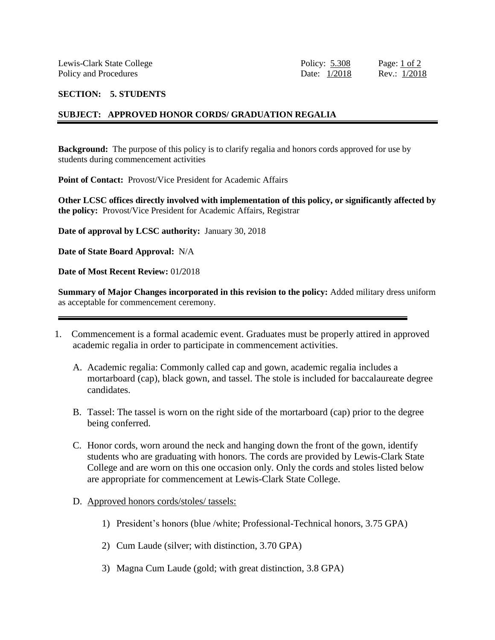## **SECTION: 5. STUDENTS**

## **SUBJECT: APPROVED HONOR CORDS/ GRADUATION REGALIA**

**Background:** The purpose of this policy is to clarify regalia and honors cords approved for use by students during commencement activities

**Point of Contact:** Provost/Vice President for Academic Affairs

**Other LCSC offices directly involved with implementation of this policy, or significantly affected by the policy:** Provost/Vice President for Academic Affairs, Registrar

**Date of approval by LCSC authority:** January 30, 2018

**Date of State Board Approval:** N/A

**Date of Most Recent Review:** 01**/**2018

**Summary of Major Changes incorporated in this revision to the policy:** Added military dress uniform as acceptable for commencement ceremony.

- 1. Commencement is a formal academic event. Graduates must be properly attired in approved academic regalia in order to participate in commencement activities.
	- A. Academic regalia: Commonly called cap and gown, academic regalia includes a mortarboard (cap), black gown, and tassel. The stole is included for baccalaureate degree candidates.
	- B. Tassel: The tassel is worn on the right side of the mortarboard (cap) prior to the degree being conferred.
	- C. Honor cords, worn around the neck and hanging down the front of the gown, identify students who are graduating with honors. The cords are provided by Lewis-Clark State College and are worn on this one occasion only. Only the cords and stoles listed below are appropriate for commencement at Lewis-Clark State College.
	- D. Approved honors cords/stoles/ tassels:
		- 1) President's honors (blue /white; Professional-Technical honors, 3.75 GPA)
		- 2) Cum Laude (silver; with distinction, 3.70 GPA)
		- 3) Magna Cum Laude (gold; with great distinction, 3.8 GPA)